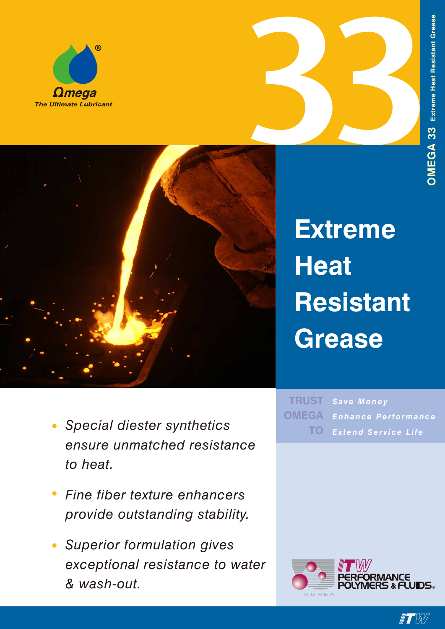



# **Extreme Heat Resistant Grease**

- *• Special diester synthetics ensure unmatched resistance to heat.*
- *• Fine fiber texture enhancers provide outstanding stability.*
- *• Superior formulation gives exceptional resistance to water & wash-out.*

*Save Money Enhance Performance Extend Service Life* **TRUST OMEGA TO**



 $\blacksquare$